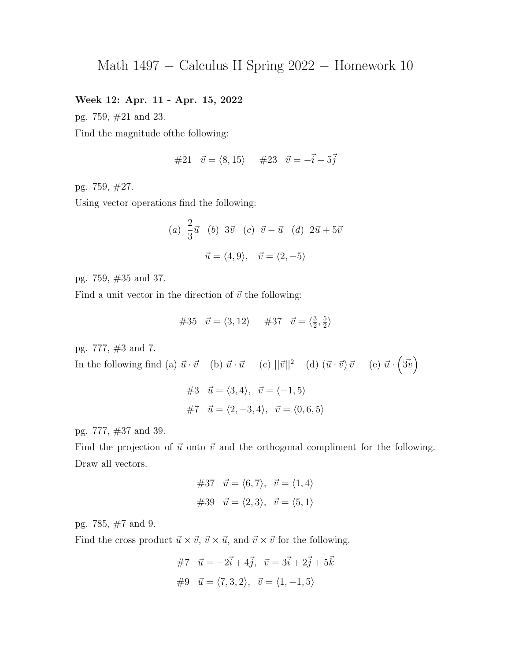## Week 12: Apr. 11 - Apr. 15, 2022

pg. 759, #21 and 23.

Find the magnitude ofthe following:

#21  $\vec{v} = \langle 8, 15 \rangle$  #23  $\vec{v} = -\vec{i} - 5\vec{j}$ 

pg. 759, #27.

Using vector operations find the following:

(a) 
$$
\frac{2}{3}\vec{u}
$$
 (b)  $3\vec{v}$  (c)  $\vec{v} - \vec{u}$  (d)  $2\vec{u} + 5\vec{v}$   

$$
\vec{u} = \langle 4, 9 \rangle, \quad \vec{v} = \langle 2, -5 \rangle
$$

pg. 759, #35 and 37.

Find a unit vector in the direction of  $\vec{v}$  the following:

#35 
$$
\vec{v} = \langle 3, 12 \rangle
$$
 #37  $\vec{v} = \langle \frac{3}{2}, \frac{5}{2} \rangle$ 

pg. 777, #3 and 7.

In the following find (a)  $\vec{u} \cdot \vec{v}$  (b)  $\vec{u} \cdot \vec{u}$  (c)  $||\vec{v}||^2$  (d)  $(\vec{u} \cdot \vec{v}) \vec{v}$  (e)  $\vec{u} \cdot (\vec{3v})$ #3  $\vec{u} = \langle 3, 4 \rangle, \vec{v} = \langle -1, 5 \rangle$ #7  $\vec{u} = \langle 2, -3, 4 \rangle, \ \vec{v} = \langle 0, 6, 5 \rangle$ 

pg. 777, #37 and 39.

Find the projection of  $\vec{u}$  onto  $\vec{v}$  and the orthogonal compliment for the following. Draw all vectors.

$$
\#37 \quad \vec{u} = \langle 6, 7 \rangle, \quad \vec{v} = \langle 1, 4 \rangle
$$

$$
\#39 \quad \vec{u} = \langle 2, 3 \rangle, \quad \vec{v} = \langle 5, 1 \rangle
$$

pg. 785, #7 and 9.

Find the cross product  $\vec{u} \times \vec{v}$ ,  $\vec{v} \times \vec{u}$ , and  $\vec{v} \times \vec{v}$  for the following.

$$
\#7 \quad \vec{u} = -2\vec{i} + 4\vec{j}, \quad \vec{v} = 3\vec{i} + 2\vec{j} + 5\vec{k}
$$

$$
\#9 \quad \vec{u} = \langle 7, 3, 2 \rangle, \quad \vec{v} = \langle 1, -1, 5 \rangle
$$